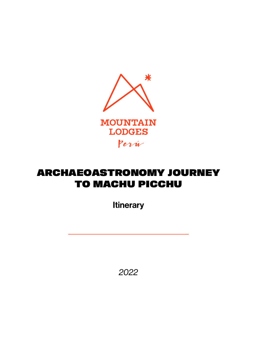

# ARCHAEOASTRONOMY JOURNEY TO MACHU PICCHU

**Itinerary** 

*2022*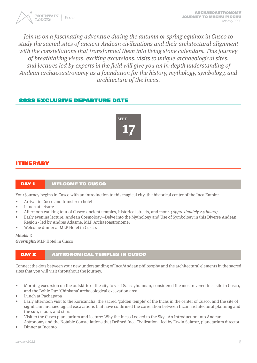

Join us on a fascinating adventure during the autumn or spring equinox in Cusco to study the sacred sites of ancient Andean civilizations and their architectural alignment with the constellations that transformed them into living stone calendars. This journey of breathtaking vistas, exciting excursions, visits to unique archaeological sites, and lectures led by experts in the field will give you an in-depth understanding of Andean archaeoastronomy as a foundation for the history, mythology, symbology, and architecture of the Incas.

# 2022 EXCLUSIVE DEPARTURE DATE



# ITINERARY

#### DAY 1 WELCOME TO CUSCO

Your journey begins in Cusco with an introduction to this magical city, the historical center of the Inca Empire

- Arrival in Cusco and transfer to hotel
- Lunch at leisure
- Afternoon walking tour of Cusco: ancient temples, historical streets, and more. (Approximately 2.5 hours)
- Early evening lecture: Andean Cosmology—Delve into the Mythology and Use of Symbology in this Diverse Andean Region - led by Andres Adasme, MLP Archaeoastronomer
- Welcome dinner at MLP Hotel in Cusco.

**Meals:** D **Overnight:** MLP Hotel in Cusco

#### DAY 2 ASTRONOMICAL TEMPLES IN CUSCO

Connect the dots between your new understanding of Inca/Andean philosophy and the architectural elements in the sacred sites that you will visit throughout the journey.

- Morning excursion on the outskirts of the city to visit Sacsayhuaman, considered the most revered Inca site in Cusco, and the Bohic-Ruz 'Chinkana' archaeological excavation area
- Lunch at Pachapapa
- Early afternoon visit to the Koricancha, the sacred 'golden temple' of the Incas in the center of Cusco, and the site of significant archaeological excavations that have confirmed the correlation between Incan architectural planning and the sun, moon, and stars
- Visit to the Cusco planetarium and lecture: Why the Incas Looked to the Sky—An Introduction into Andean Astronomy and the Notable Constellations that Defined Inca Civilization - led by Erwin Salazar, planetarium director.
- Dinner at Incanto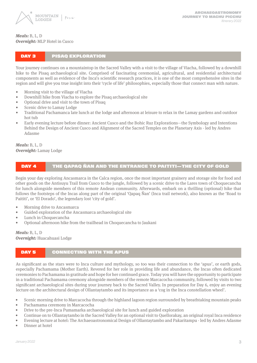

#### **Meals:** B, L, D **Overnight:** MLP Hotel in Cusco

#### DAY 3 PISAQ EXPLORATION

Your journey continues on a mountaintop in the Sacred Valley with a visit to the village of Viacha, followed by a downhill hike to the Pisaq archaeological site. Comprised of fascinating ceremonial, agricultural, and residential architectural components as well as evidence of the Inca's scientific research practices, it is one of the most comprehensive sites in the region and will give you true insight into their 'cycle of life' philosophies, especially those that connect man with nature.

- Morning visit to the village of Viacha
- Downhill hike from Viacha to explore the Pisaq archaeological site
- Optional drive and visit to the town of Pisaq
- Scenic drive to Lamay Lodge
- Traditional Pachamanca late lunch at the lodge and afternoon at leisure to relax in the Lamay gardens and outdoor hot tub
- Early evening lecture before dinner: Ancient Cusco and the Bohic Ruz Explorations—the Symbology and Intentions Behind the Design of Ancient Cusco and Alignment of the Sacred Temples on the Planetary Axis - led by Andres Adasme

**Meals:** B, L, D **Overnight:** Lamay Lodge

#### DAY 4 THE QAPAQ ÑAN AND THE ENTRANCE TO PAITITI—THE CITY OF GOLD

Begin your day exploring Ancasmarca in the Calca region, once the most important grainery and storage site for food and other goods on the Antisuyu Trail from Cusco to the jungle, followed by a scenic drive to the Lares town of Choquecancha for lunch alongside members of this remote Andean community. Afterwards, embark on a thrilling (optional) hike that follows the footsteps of the Incas along part of the original 'Qapaq Ñan' (Inca trail network), also known as the 'Road to Paititi', or 'El Dorado', the legendary lost 'city of gold'.

- Morning drive to Ancasmarca
- Guided exploration of the Ancasmarca archaeological site
- Lunch in Choquecancha
- Optional afternoon hike from the trailhead in Choquecancha to Jaukani

**Meals:** B, L, D **Overnight:** Huacahuasi Lodge

#### DAY 5 CONNECTING WITH THE APUS

As significant as the stars were to Inca culture and mythology, so too was their connection to the 'apus', or earth gods, especially Pachamama (Mother Earth). Revered for her role in providing life and abundance, the Incas often dedicated ceremonies to Pachamama in gratitude and hope for her continued grace. Today you will have the opportunity to participate in a traditional Pachamama ceremony alongside members of the remote Marcacocha community, followed by visits to two significant archaeological sites during your journey back to the Sacred Valley. In preparation for Day 6, enjoy an evening lecture on the architectural design of Ollantaytambo and its importance as a 'cog in the Inca constellation wheel'.

- Scenic morning drive to Marcacocha through the highland lagoon region surrounded by breathtaking mountain peaks
- Pachamama ceremony in Marcacocha
- Drive to the pre-Inca Pumamarka archaeological site for lunch and guided exploration
- Continue on to Ollantaytambo in the Sacred Valley for an optional visit to Quellorakay, an original royal Inca residence
- Evening lecture at hotel: The Archaeoastronomical Design of Ollantaytambo and Pakaritampu led by Andres Adasme
- Dinner at hotel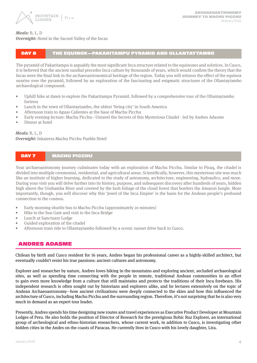

#### **Meals:** B, L, D

#### **Overnight:** Hotel in the Sacred Valley of the Incas

# DAY 6 THE EQUINOX—PAKARITAMPU PYRAMID AND OLLANTAYTAMBO

The pyramid of Pakaritampu is arguably the most significant Inca structure related to the equinoxes and solstices. In Cusco, it is believed that the ancient sundial precedes Inca culture by thousands of years, which would confirm the theory that the Incas were the final link in the archaeoastronomical heritage of the region. Today you will witness the effect of the equinox sunrise over the pyramid, followed by an exploration of the fascinating and enigmatic structures of the Ollantaytambo archaeological compound.

- Uphill hike at dawn to explore the Pakaritampu Pyramid, followed by a comprehensive tour of the Ollantaytambo fortress
- Lunch in the town of Ollantaytambo, the oldest 'living city' in South America
- Afternoon train to Aguas Calientes at the base of Machu Picchu
- Early evening lecture: Machu Picchu—Unravel the Secrets of this Mysterious Citadel led by Andres Adasme
- Dinner at hotel

#### **Meals:** B, L, D

**Overnight:** Inkaterra Machu Picchu Pueblo Hotel

#### DAY 7 MACHU PICCHU

Your archaeoastronomy journey culminates today with an exploration of Machu Picchu. Similar to Pisaq, the citadel is divided into multiple ceremonial, residential, and agricultural areas. Scientifically, however, this mysterious site was much like an institute of higher learning, dedicated to the study of astronomy, architecture, engineering, hydraulics, and more. During your visit you will delve further into its history, purpose, and subsequent discovery after hundreds of years, hidden high above the Urubamba River and covered by the lush foliage of the cloud forest that borders the Amazon Jungle. More importantly, though, you will discover why this 'jewel of the Inca Empire' is the basis for the Andean people's profound connection to the cosmos.

- Early morning shuttle bus to Machu Picchu (approximately 20 minutes)
- Hike to the Sun Gate and visit to the Inca Bridge
- Lunch at Sanctuary Lodge
- Guided exploration of the citadel
- Afternoon train ride to Ollantaytambo followed by a scenic sunset drive back to Cusco.

#### ANDRES ADASME

Chilean by birth and Cusco resident for 16 years, Andres began his professional career as a highly-skilled architect, but eventually couldn't resist his true passions: ancient cultures and astronomy.

Explorer and researcher by nature, Andres loves hiking in the mountains and exploring ancient, secluded archaeological sites, as well as spending time connecting with the people in remote, traditional Andean communities in an effort to gain even more knowledge from a culture that still maintains and protects the traditions of their Inca forebears. His independent research is often sought out by historians and explorers alike, and he lectures extensively on the topic of Andean Archaeoastronomy—how ancient civilizations were deeply connected to the skies and how this influenced the architecture of Cusco, including Machu Picchu and the surrounding region. Therefore, it's not surprising that he is also very much in demand as an expert tour leader.

Presently, Andres spends his time designing new routes and travel experiences as Executive Product Developer at Mountain Lodges of Peru. He also holds the position of Director of Research for the prestigious Bohic Ruz Explorer, an international group of archeological and ethno-historian researchers, whose current work, in addition to Cusco, is investigating other hidden cities in the Andes on the coasts of Paracas. He currently lives in Cusco with his lovely daughter, Lira.